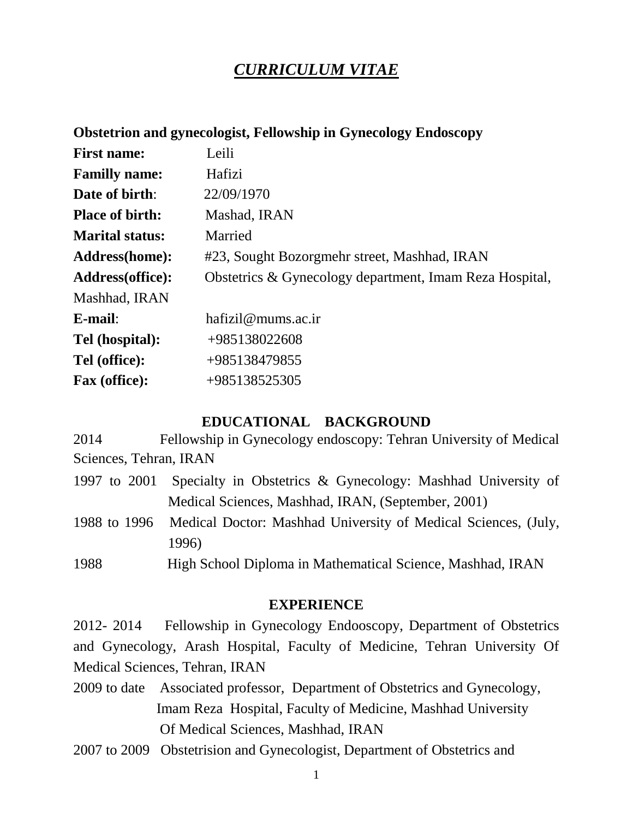# *CURRICULUM VITAE*

#### **Obstetrion and gynecologist, Fellowship in Gynecology Endoscopy**

| <b>First name:</b>     | Leili                                                   |
|------------------------|---------------------------------------------------------|
| <b>Familly name:</b>   | Hafizi                                                  |
| Date of birth:         | 22/09/1970                                              |
| <b>Place of birth:</b> | Mashad, IRAN                                            |
| <b>Marital status:</b> | Married                                                 |
| Address(home):         | #23, Sought Bozorgmehr street, Mashhad, IRAN            |
| Address(office):       | Obstetrics & Gynecology department, Imam Reza Hospital, |
| Mashhad, IRAN          |                                                         |
| $E$ -mail:             | hafizil@mums.ac.ir                                      |
| Tel (hospital):        | +985138022608                                           |
| Tel (office):          | +985138479855                                           |
| <b>Fax</b> (office):   | +985138525305                                           |

#### **EDUCATIONAL BACKGROUND**

2014 Fellowship in Gynecology endoscopy: Tehran University of Medical Sciences, Tehran, IRAN

- 1997 to 2001 Specialty in Obstetrics & Gynecology: Mashhad University of Medical Sciences, Mashhad, IRAN, (September, 2001)
- 1988 to 1996 Medical Doctor: Mashhad University of Medical Sciences, (July, 1996)

1988 High School Diploma in Mathematical Science, Mashhad, IRAN

#### **EXPERIENCE**

2012- 2014 Fellowship in Gynecology Endooscopy, Department of Obstetrics and Gynecology, Arash Hospital, Faculty of Medicine, Tehran University Of Medical Sciences, Tehran, IRAN

- 2009 to date Associated professor, Department of Obstetrics and Gynecology, Imam Reza Hospital, Faculty of Medicine, Mashhad University Of Medical Sciences, Mashhad, IRAN
- 2007 to 2009 Obstetrision and Gynecologist, Department of Obstetrics and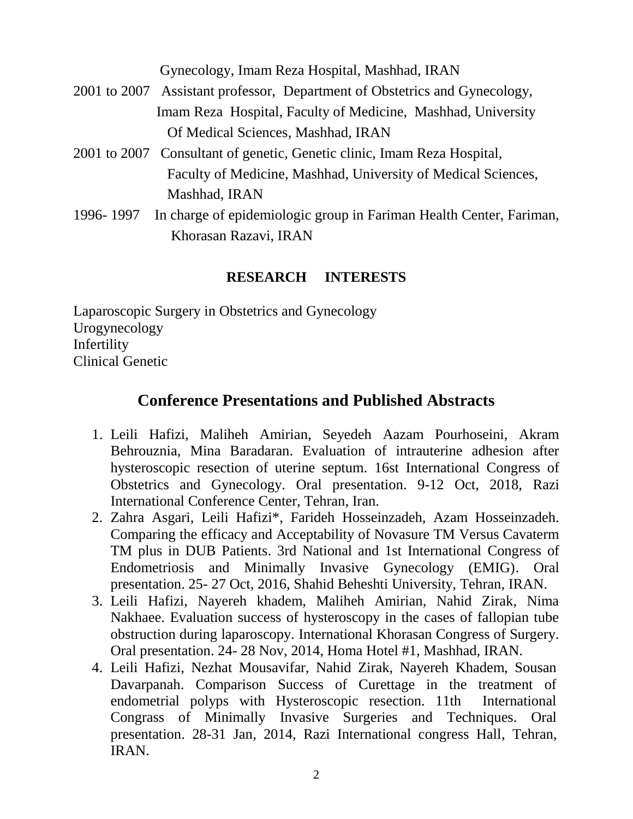Gynecology, Imam Reza Hospital, Mashhad, IRAN

- 2001 to 2007 Assistant professor, Department of Obstetrics and Gynecology, Imam Reza Hospital, Faculty of Medicine, Mashhad, University Of Medical Sciences, Mashhad, IRAN
- 2001 to 2007 Consultant of genetic, Genetic clinic, Imam Reza Hospital, Faculty of Medicine, Mashhad, University of Medical Sciences, Mashhad, IRAN
- 1996- 1997 In charge of epidemiologic group in Fariman Health Center, Fariman, Khorasan Razavi, IRAN

# **RESEARCH INTERESTS**

Laparoscopic Surgery in Obstetrics and Gynecology Urogynecology Infertility Clinical Genetic

# **Conference Presentations and Published Abstracts**

- 1. Leili Hafizi, Maliheh Amirian, Seyedeh Aazam Pourhoseini, Akram Behrouznia, Mina Baradaran. Evaluation of intrauterine adhesion after hysteroscopic resection of uterine septum. 16st International Congress of Obstetrics and Gynecology. Oral presentation. 9-12 Oct, 2018, Razi International Conference Center, Tehran, Iran.
- 2. Zahra Asgari, Leili Hafizi\*, Farideh Hosseinzadeh, Azam Hosseinzadeh. Comparing the efficacy and Acceptability of Novasure TM Versus Cavaterm TM plus in DUB Patients. 3rd National and 1st International Congress of Endometriosis and Minimally Invasive Gynecology (EMIG). Oral presentation. 25- 27 Oct, 2016, Shahid Beheshti University, Tehran, IRAN.
- 3. Leili Hafizi, Nayereh khadem, Maliheh Amirian, Nahid Zirak, Nima Nakhaee. Evaluation success of hysteroscopy in the cases of fallopian tube obstruction during laparoscopy. International Khorasan Congress of Surgery. Oral presentation. 24- 28 Nov, 2014, Homa Hotel #1, Mashhad, IRAN.
- 4. Leili Hafizi, Nezhat Mousavifar, Nahid Zirak, Nayereh Khadem, Sousan Davarpanah. Comparison Success of Curettage in the treatment of endometrial polyps with Hysteroscopic resection. 11th International Congrass of Minimally Invasive Surgeries and Techniques. Oral presentation. 28-31 Jan, 2014, Razi International congress Hall, Tehran, IRAN.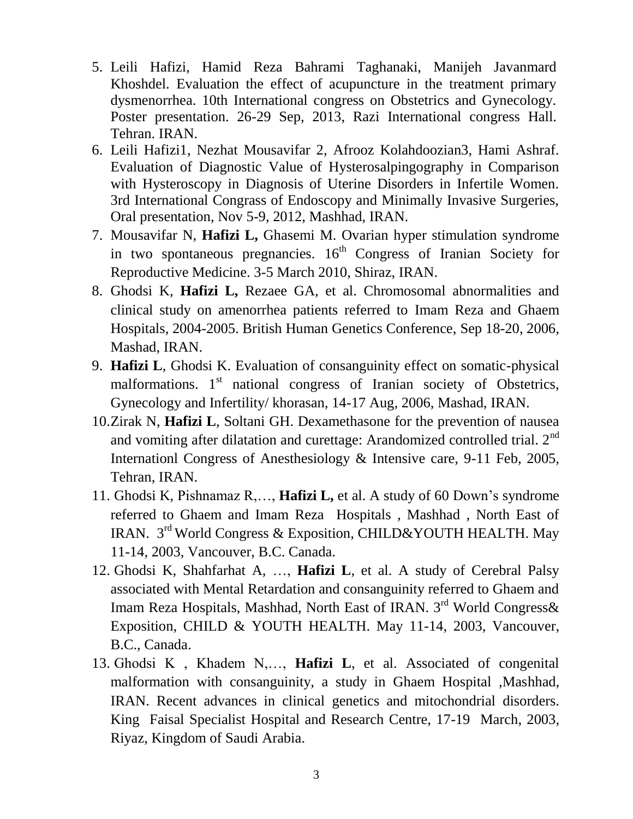- 5. Leili Hafizi, Hamid Reza Bahrami Taghanaki, Manijeh Javanmard Khoshdel. Evaluation the effect of acupuncture in the treatment primary dysmenorrhea. 10th International congress on Obstetrics and Gynecology. Poster presentation. 26-29 Sep, 2013, Razi International congress Hall. Tehran. IRAN.
- 6. Leili Hafizi1, Nezhat Mousavifar 2, Afrooz Kolahdoozian3, Hami Ashraf. Evaluation of Diagnostic Value of Hysterosalpingography in Comparison with Hysteroscopy in Diagnosis of Uterine Disorders in Infertile Women. 3rd International Congrass of Endoscopy and Minimally Invasive Surgeries, Oral presentation, Nov 5-9, 2012, Mashhad, IRAN.
- 7. Mousavifar N, **Hafizi L,** Ghasemi M. Ovarian hyper stimulation syndrome in two spontaneous pregnancies.  $16<sup>th</sup>$  Congress of Iranian Society for Reproductive Medicine. 3-5 March 2010, Shiraz, IRAN.
- 8. Ghodsi K, **Hafizi L,** Rezaee GA, et al. Chromosomal abnormalities and clinical study on amenorrhea patients referred to Imam Reza and Ghaem Hospitals, 2004-2005. British Human Genetics Conference, Sep 18-20, 2006, Mashad, IRAN.
- 9. **Hafizi L**, Ghodsi K. Evaluation of consanguinity effect on somatic-physical malformations.  $1<sup>st</sup>$  national congress of Iranian society of Obstetrics, Gynecology and Infertility/ khorasan, 14-17 Aug, 2006, Mashad, IRAN.
- 10.Zirak N, **Hafizi L**, Soltani GH. Dexamethasone for the prevention of nausea and vomiting after dilatation and curettage: Arandomized controlled trial.  $2<sup>nd</sup>$ Internationl Congress of Anesthesiology & Intensive care, 9-11 Feb, 2005, Tehran, IRAN.
- 11. Ghodsi K, Pishnamaz R,…, **Hafizi L,** et al. A study of 60 Down's syndrome referred to Ghaem and Imam Reza Hospitals , Mashhad , North East of IRAN. 3rd World Congress & Exposition, CHILD&YOUTH HEALTH. May 11-14, 2003, Vancouver, B.C. Canada.
- 12. Ghodsi K, Shahfarhat A, …, **Hafizi L**, et al. A study of Cerebral Palsy associated with Mental Retardation and consanguinity referred to Ghaem and Imam Reza Hospitals, Mashhad, North East of IRAN. 3<sup>rd</sup> World Congress& Exposition, CHILD & YOUTH HEALTH. May 11-14, 2003, Vancouver, B.C., Canada.
- 13. Ghodsi K , Khadem N,…, **Hafizi L**, et al. Associated of congenital malformation with consanguinity, a study in Ghaem Hospital ,Mashhad, IRAN. Recent advances in clinical genetics and mitochondrial disorders. King Faisal Specialist Hospital and Research Centre, 17-19 March, 2003, Riyaz, Kingdom of Saudi Arabia.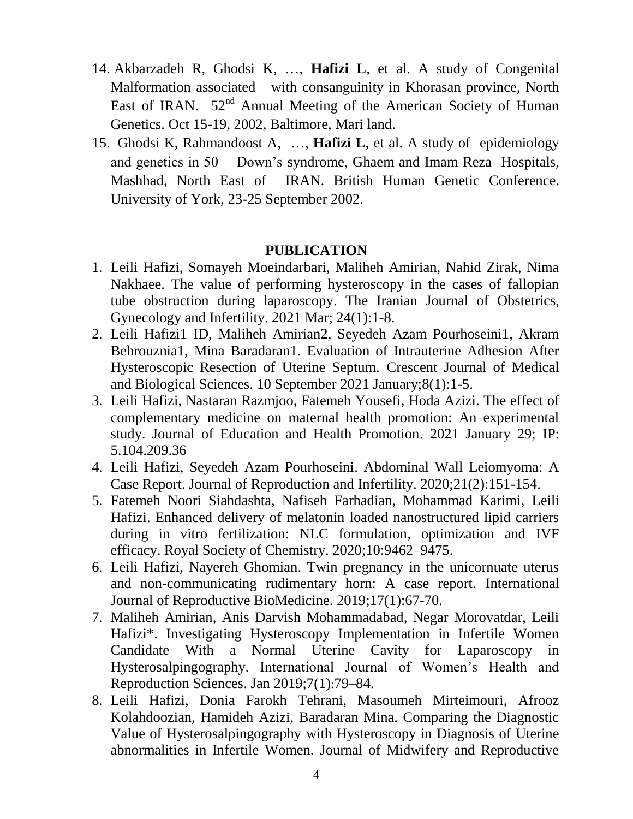- 14. Akbarzadeh R, Ghodsi K, …, **Hafizi L**, et al. A study of Congenital Malformation associated with consanguinity in Khorasan province, North East of IRAN.  $52<sup>nd</sup>$  Annual Meeting of the American Society of Human Genetics. Oct 15-19, 2002, Baltimore, Mari land.
- 15. Ghodsi K, Rahmandoost A, …, **Hafizi L**, et al. A study of epidemiology and genetics in 50 Down's syndrome, Ghaem and Imam Reza Hospitals, Mashhad, North East of IRAN. British Human Genetic Conference. University of York, 23-25 September 2002.

#### **PUBLICATION**

- 1. Leili Hafizi, Somayeh Moeindarbari, Maliheh Amirian, Nahid Zirak, Nima Nakhaee. The value of performing hysteroscopy in the cases of fallopian tube obstruction during laparoscopy. The Iranian Journal of Obstetrics, Gynecology and Infertility. 2021 Mar; 24(1):1-8.
- 2. Leili Hafizi1 ID, Maliheh Amirian2, Seyedeh Azam Pourhoseini1, Akram Behrouznia1, Mina Baradaran1. Evaluation of Intrauterine Adhesion After Hysteroscopic Resection of Uterine Septum. Crescent Journal of Medical and Biological Sciences. 10 September 2021 January;8(1):1-5.
- 3. Leili Hafizi, Nastaran Razmjoo, Fatemeh Yousefi, Hoda Azizi. The effect of complementary medicine on maternal health promotion: An experimental study. Journal of Education and Health Promotion. 2021 January 29; IP: 5.104.209.36
- 4. Leili Hafizi, Seyedeh Azam Pourhoseini. Abdominal Wall Leiomyoma: A Case Report. Journal of Reproduction and Infertility. 2020;21(2):151-154.
- 5. Fatemeh Noori Siahdashta, Nafiseh Farhadian, Mohammad Karimi, Leili Hafizi. Enhanced delivery of melatonin loaded nanostructured lipid carriers during in vitro fertilization: NLC formulation, optimization and IVF efficacy. Royal Society of Chemistry. 2020;10:9462–9475.
- 6. Leili Hafizi, Nayereh Ghomian. Twin pregnancy in the unicornuate uterus and non-communicating rudimentary horn: A case report. International Journal of Reproductive BioMedicine. 2019;17(1):67-70.
- 7. Maliheh Amirian, Anis Darvish Mohammadabad, Negar Morovatdar, Leili Hafizi\*. Investigating Hysteroscopy Implementation in Infertile Women Candidate With a Normal Uterine Cavity for Laparoscopy in Hysterosalpingography. International Journal of Women's Health and Reproduction Sciences. Jan 2019;7(1):79–84.
- 8. Leili Hafizi, Donia Farokh Tehrani, Masoumeh Mirteimouri, Afrooz Kolahdoozian, Hamideh Azizi, Baradaran Mina. Comparing the Diagnostic Value of Hysterosalpingography with Hysteroscopy in Diagnosis of Uterine abnormalities in Infertile Women. Journal of Midwifery and Reproductive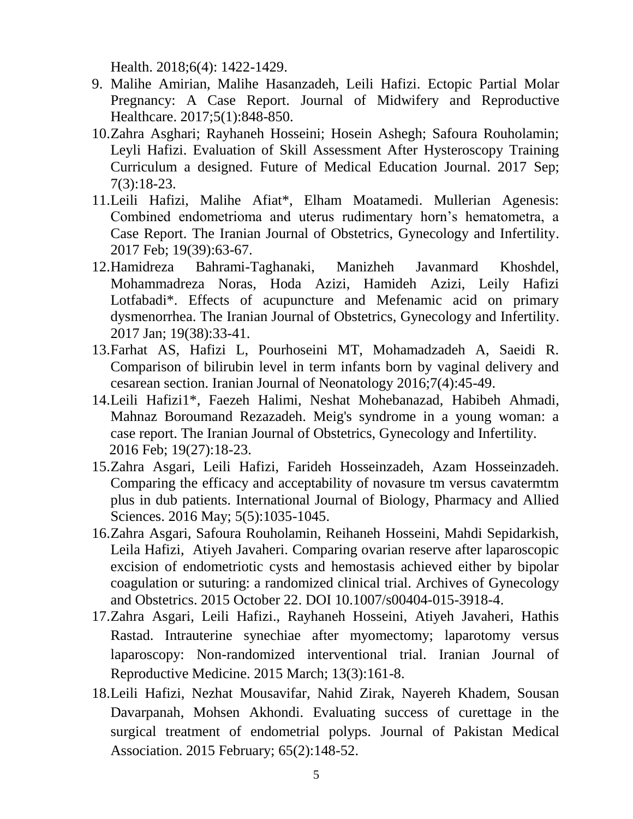Health. 2018;6(4): 1422-1429.

- 9. Malihe Amirian, Malihe Hasanzadeh, Leili Hafizi. Ectopic Partial Molar Pregnancy: A Case Report. Journal of Midwifery and Reproductive Healthcare. 2017;5(1):848-850.
- 10.Zahra Asghari; Rayhaneh Hosseini; Hosein Ashegh; Safoura Rouholamin; Leyli Hafizi. Evaluation of Skill Assessment After Hysteroscopy Training Curriculum a designed. Future of Medical Education Journal. 2017 Sep; 7(3):18-23.
- 11.Leili Hafizi, Malihe Afiat\*, Elham Moatamedi. Mullerian Agenesis: Combined endometrioma and uterus rudimentary horn's hematometra, a Case Report. The Iranian Journal of Obstetrics, Gynecology and Infertility. 2017 Feb; 19(39):63-67.
- 12.Hamidreza Bahrami-Taghanaki, Manizheh Javanmard Khoshdel, Mohammadreza Noras, Hoda Azizi, Hamideh Azizi, Leily Hafizi Lotfabadi\*. Effects of acupuncture and Mefenamic acid on primary dysmenorrhea. The Iranian Journal of Obstetrics, Gynecology and Infertility. 2017 Jan; 19(38):33-41.
- 13.Farhat AS, Hafizi L, Pourhoseini MT, Mohamadzadeh A, Saeidi R. Comparison of bilirubin level in term infants born by vaginal delivery and cesarean section. [Iranian Journal of Neonatology](http://rsf.research.ac.ir/Index.php?itemId=3086) 2016;7(4):45-49.
- 14.Leili Hafizi1\*, Faezeh Halimi, Neshat Mohebanazad, Habibeh Ahmadi, Mahnaz Boroumand Rezazadeh. Meig's syndrome in a young woman: a case report. The Iranian Journal of Obstetrics, Gynecology and Infertility. 2016 Feb; 19(27):18-23.
- 15.Zahra Asgari, Leili Hafizi, Farideh Hosseinzadeh, Azam Hosseinzadeh. Comparing the efficacy and acceptability of novasure tm versus cavatermtm plus in dub patients. International Journal of Biology, Pharmacy and Allied Sciences. 2016 May; 5(5):1035-1045.
- 16.Zahra Asgari, Safoura Rouholamin, Reihaneh Hosseini, Mahdi Sepidarkish, Leila Hafizi, Atiyeh Javaheri. Comparing ovarian reserve after laparoscopic excision of endometriotic cysts and hemostasis achieved either by bipolar coagulation or suturing: a randomized clinical trial. Archives of Gynecology and Obstetrics. 2015 October 22. DOI 10.1007/s00404-015-3918-4.
- 17.Zahra Asgari, Leili Hafizi., Rayhaneh Hosseini, Atiyeh Javaheri, Hathis Rastad. Intrauterine synechiae after myomectomy; laparotomy versus laparoscopy: Non-randomized interventional trial. Iranian Journal of Reproductive Medicine. 2015 March; 13(3):161-8.
- 18.Leili Hafizi, Nezhat Mousavifar, Nahid Zirak, Nayereh Khadem, Sousan Davarpanah, Mohsen Akhondi. Evaluating success of curettage in the surgical treatment of endometrial polyps. Journal of Pakistan Medical Association. 2015 February; 65(2):148-52.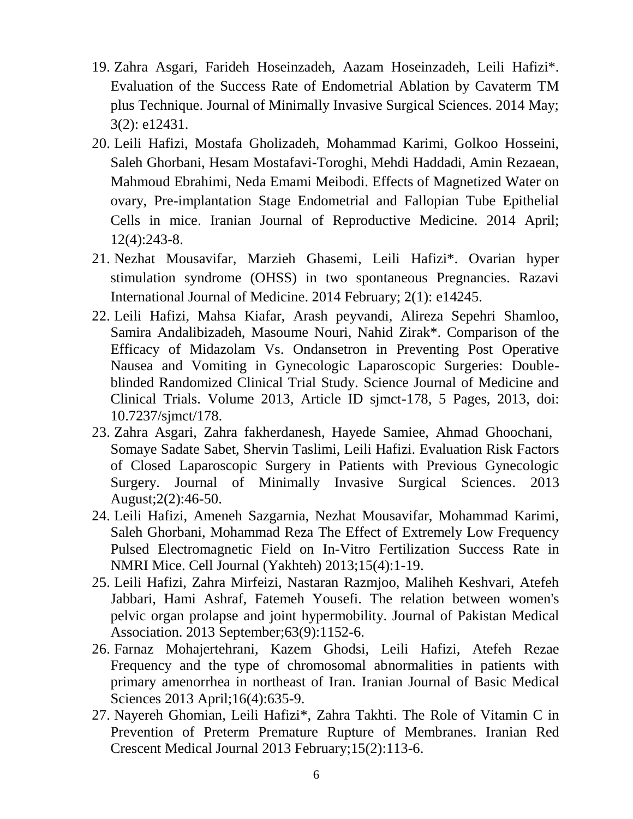- 19. Zahra Asgari, Farideh Hoseinzadeh, Aazam Hoseinzadeh, Leili Hafizi\*. Evaluation of the Success Rate of Endometrial Ablation by Cavaterm TM plus Technique. Journal of Minimally Invasive Surgical Sciences. 2014 May; 3(2): e12431.
- 20. Leili Hafizi, Mostafa Gholizadeh, Mohammad Karimi, Golkoo Hosseini, Saleh Ghorbani, Hesam Mostafavi-Toroghi, Mehdi Haddadi, Amin Rezaean, Mahmoud Ebrahimi, Neda Emami Meibodi. Effects of Magnetized Water on ovary, Pre-implantation Stage Endometrial and Fallopian Tube Epithelial Cells in mice. Iranian Journal of Reproductive Medicine. 2014 April; 12(4):243-8.
- 21. Nezhat Mousavifar, Marzieh Ghasemi, Leili Hafizi\*. Ovarian hyper stimulation syndrome (OHSS) in two spontaneous Pregnancies. Razavi International Journal of Medicine. 2014 February; 2(1): e14245.
- 22. Leili Hafizi, Mahsa Kiafar, Arash peyvandi, Alireza Sepehri Shamloo, Samira Andalibizadeh, Masoume Nouri, Nahid Zirak\*. Comparison of the Efficacy of Midazolam Vs. Ondansetron in Preventing Post Operative Nausea and Vomiting in Gynecologic Laparoscopic Surgeries: Doubleblinded Randomized Clinical Trial Study. Science Journal of Medicine and Clinical Trials. Volume 2013, Article ID sjmct-178, 5 Pages, 2013, doi: 10.7237/sjmct/178.
- 23. Zahra Asgari, Zahra fakherdanesh, Hayede Samiee, Ahmad Ghoochani, Somaye Sadate Sabet, Shervin Taslimi, Leili Hafizi. Evaluation Risk Factors of Closed Laparoscopic Surgery in Patients with Previous Gynecologic Surgery. [Journal of Minimally Invasive Surgical Sciences.](https://mail.mums.ac.ir/owa/redir.aspx?C=-_vsk9uMSkei4X3tvRoz8_jp-141atBI6gWZZ19L0xzhiZbkJGUZTNFrzPrO3B9S_CCr72sfVrk.&URL=http%3a%2f%2fminsurgery.com) 2013 August;2(2):46-50.
- 24. Leili Hafizi, Ameneh Sazgarnia, Nezhat Mousavifar, Mohammad Karimi, Saleh Ghorbani, Mohammad Reza The Effect of Extremely Low Frequency Pulsed Electromagnetic Field on In-Vitro Fertilization Success Rate in NMRI Mice. Cell Journal (Yakhteh) 2013;15(4):1-19.
- 25. Leili Hafizi, Zahra Mirfeizi, Nastaran Razmjoo, Maliheh Keshvari, Atefeh Jabbari, Hami Ashraf, Fatemeh Yousefi. The relation between women's pelvic organ prolapse and joint hypermobility. Journal of Pakistan Medical Association. 2013 September;63(9):1152-6.
- 26. Farnaz Mohajertehrani, Kazem Ghodsi, Leili Hafizi, Atefeh Rezae Frequency and the type of chromosomal abnormalities in patients with primary amenorrhea in northeast of Iran. Iranian Journal of Basic Medical Sciences 2013 April;16(4):635-9.
- 27. Nayereh Ghomian, Leili Hafizi\*, Zahra Takhti. The Role of Vitamin C in Prevention of Preterm Premature Rupture of Membranes. Iranian Red Crescent Medical Journal 2013 February;15(2):113-6.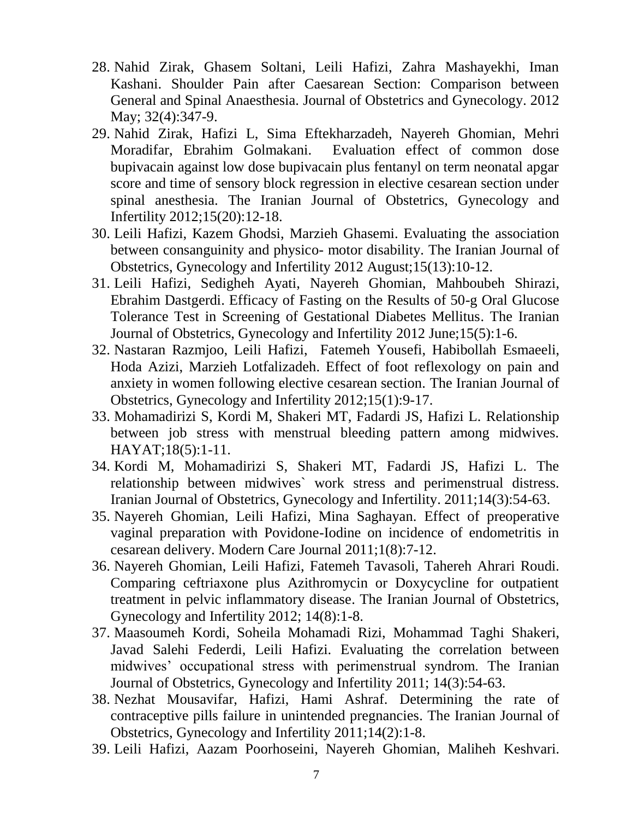- 28. Nahid Zirak, Ghasem Soltani, Leili Hafizi, Zahra Mashayekhi, Iman Kashani. Shoulder Pain after Caesarean Section: Comparison between General and Spinal Anaesthesia. Journal of Obstetrics and Gynecology. 2012 May; 32(4):347-9.
- 29. Nahid Zirak, Hafizi L, Sima Eftekharzadeh, Nayereh Ghomian, Mehri Moradifar, Ebrahim Golmakani. Evaluation effect of common dose bupivacain against low dose bupivacain plus fentanyl on term neonatal apgar score and time of sensory block regression in elective cesarean section under spinal anesthesia. The Iranian Journal of Obstetrics, Gynecology and Infertility 2012;15(20):12-18.
- 30. Leili Hafizi, Kazem Ghodsi, Marzieh Ghasemi. Evaluating the association between consanguinity and physico- motor disability. The Iranian Journal of Obstetrics, Gynecology and Infertility 2012 August;15(13):10-12.
- 31. Leili Hafizi, Sedigheh Ayati, Nayereh Ghomian, Mahboubeh Shirazi, Ebrahim Dastgerdi. Efficacy of Fasting on the Results of 50-g Oral Glucose Tolerance Test in Screening of Gestational Diabetes Mellitus. The Iranian Journal of Obstetrics, Gynecology and Infertility 2012 June;15(5):1-6.
- 32. Nastaran Razmjoo, Leili Hafizi, Fatemeh Yousefi, Habibollah Esmaeeli, Hoda Azizi, Marzieh Lotfalizadeh. Effect of foot reflexology on pain and anxiety in women following elective cesarean section. The Iranian Journal of Obstetrics, Gynecology and Infertility 2012;15(1):9-17.
- 33. Mohamadirizi S, Kordi M, Shakeri MT, Fadardi JS, Hafizi L. Relationship between job stress with menstrual bleeding pattern among midwives. [HAYAT;](http://rsf.research.ac.ir/Index.php?itemId=32282)18(5):1-11.
- 34. Kordi M, Mohamadirizi S, Shakeri MT, Fadardi JS, Hafizi L. The relationship between midwives` work stress and perimenstrual distress. [Iranian Journal of Obstetrics, Gynecology and Infertility.](http://rsf.research.ac.ir/Index.php?itemId=3089) 2011;14(3):54-63.
- 35. Nayereh Ghomian, Leili Hafizi, Mina Saghayan. Effect of preoperative vaginal preparation with Povidone-Iodine on incidence of endometritis in cesarean delivery. Modern Care Journal 2011;1(8):7-12.
- 36. Nayereh Ghomian, Leili Hafizi, Fatemeh Tavasoli, Tahereh Ahrari Roudi. Comparing ceftriaxone plus Azithromycin or Doxycycline for outpatient treatment in pelvic inflammatory disease. The Iranian Journal of Obstetrics, Gynecology and Infertility 2012; 14(8):1-8.
- 37. Maasoumeh Kordi, Soheila Mohamadi Rizi, Mohammad Taghi Shakeri, Javad Salehi Federdi, Leili Hafizi. Evaluating the correlation between midwives' occupational stress with perimenstrual syndrom. The Iranian Journal of Obstetrics, Gynecology and Infertility 2011; 14(3):54-63.
- 38. Nezhat Mousavifar, Hafizi, Hami Ashraf. Determining the rate of contraceptive pills failure in unintended pregnancies. The Iranian Journal of Obstetrics, Gynecology and Infertility 2011;14(2):1-8.
- 39. Leili Hafizi, Aazam Poorhoseini, Nayereh Ghomian, Maliheh Keshvari.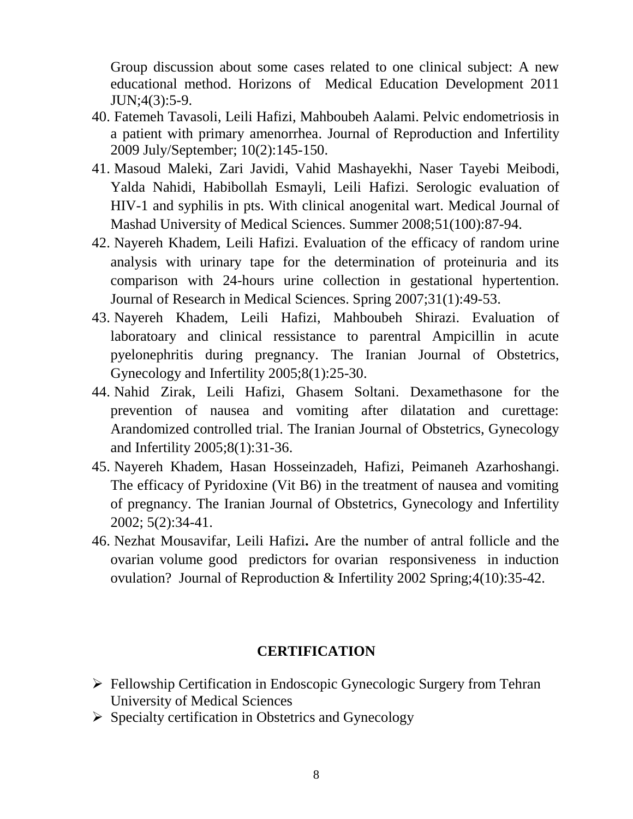Group discussion about some cases related to one clinical subject: A new educational method. Horizons of Medical Education Development 2011 JUN;4(3):5-9.

- 40. Fatemeh Tavasoli, Leili Hafizi, Mahboubeh Aalami. Pelvic endometriosis in a patient with primary amenorrhea. Journal of Reproduction and Infertility 2009 July/September; 10(2):145-150.
- 41. Masoud Maleki, Zari Javidi, Vahid Mashayekhi, Naser Tayebi Meibodi, Yalda Nahidi, Habibollah Esmayli, Leili Hafizi. Serologic evaluation of HIV-1 and syphilis in pts. With clinical anogenital wart. Medical Journal of Mashad University of Medical Sciences. Summer 2008;51(100):87-94.
- 42. Nayereh Khadem, Leili Hafizi. Evaluation of the efficacy of random urine analysis with urinary tape for the determination of proteinuria and its comparison with 24-hours urine collection in gestational hypertention. Journal of Research in Medical Sciences. Spring 2007;31(1):49-53.
- 43. Nayereh Khadem, Leili Hafizi, Mahboubeh Shirazi. Evaluation of laboratoary and clinical ressistance to parentral Ampicillin in acute pyelonephritis during pregnancy. The Iranian Journal of Obstetrics, Gynecology and Infertility 2005;8(1):25-30.
- 44. Nahid Zirak, Leili Hafizi, Ghasem Soltani. Dexamethasone for the prevention of nausea and vomiting after dilatation and curettage: Arandomized controlled trial. The Iranian Journal of Obstetrics, Gynecology and Infertility 2005;8(1):31-36.
- 45. Nayereh Khadem, Hasan Hosseinzadeh, Hafizi, Peimaneh Azarhoshangi. The efficacy of Pyridoxine (Vit B6) in the treatment of nausea and vomiting of pregnancy. The Iranian Journal of Obstetrics, Gynecology and Infertility 2002; 5(2):34-41.
- 46. Nezhat Mousavifar, Leili Hafizi**.** Are the number of antral follicle and the ovarian volume good predictors for ovarian responsiveness in induction ovulation? Journal of Reproduction & Infertility 2002 Spring;4(10):35-42.

### **CERTIFICATION**

- Fellowship Certification in Endoscopic Gynecologic Surgery from Tehran University of Medical Sciences
- $\triangleright$  Specialty certification in Obstetrics and Gynecology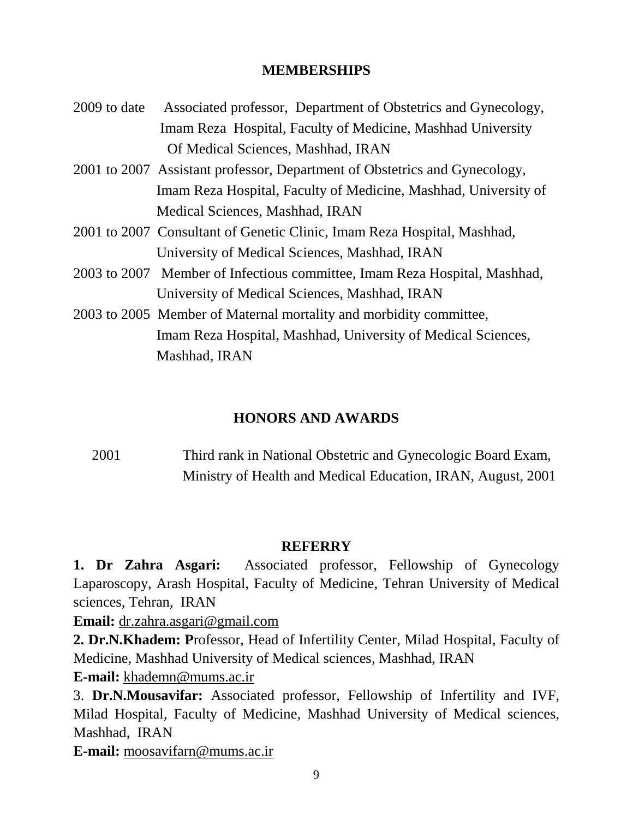### **MEMBERSHIPS**

| 2009 to date | Associated professor, Department of Obstetrics and Gynecology,             |
|--------------|----------------------------------------------------------------------------|
|              | Imam Reza Hospital, Faculty of Medicine, Mashhad University                |
|              | Of Medical Sciences, Mashhad, IRAN                                         |
|              | 2001 to 2007 Assistant professor, Department of Obstetrics and Gynecology, |
|              | Imam Reza Hospital, Faculty of Medicine, Mashhad, University of            |
|              | Medical Sciences, Mashhad, IRAN                                            |
|              | 2001 to 2007 Consultant of Genetic Clinic, Imam Reza Hospital, Mashhad,    |
|              | University of Medical Sciences, Mashhad, IRAN                              |
|              | 2003 to 2007 Member of Infectious committee, Imam Reza Hospital, Mashhad,  |
|              | University of Medical Sciences, Mashhad, IRAN                              |
|              | 2003 to 2005 Member of Maternal mortality and morbidity committee,         |
|              | Imam Reza Hospital, Mashhad, University of Medical Sciences,               |
|              | Mashhad, IRAN                                                              |

## **HONORS AND AWARDS**

2001 Third rank in National Obstetric and Gynecologic Board Exam, Ministry of Health and Medical Education, IRAN, August, 2001

### **REFERRY**

**1. Dr Zahra Asgari:** Associated professor, Fellowship of Gynecology Laparoscopy, Arash Hospital, Faculty of Medicine, Tehran University of Medical sciences, Tehran, IRAN

**Email:** dr.zahra.asgari@gmail.com

**2. Dr.N.Khadem: P**rofessor, Head of Infertility Center, Milad Hospital, Faculty of Medicine, Mashhad University of Medical sciences, Mashhad, IRAN

**E-mail:** [khademn@mums.ac.ir](mailto:khademn@mums.ac.ir)

3. **Dr.N.Mousavifar:** Associated professor, Fellowship of Infertility and IVF, Milad Hospital, Faculty of Medicine, Mashhad University of Medical sciences, Mashhad, IRAN

**E-mail:** [moosavifarn@mums.ac.ir](mailto:moosavifarn@mums.ac.ir)